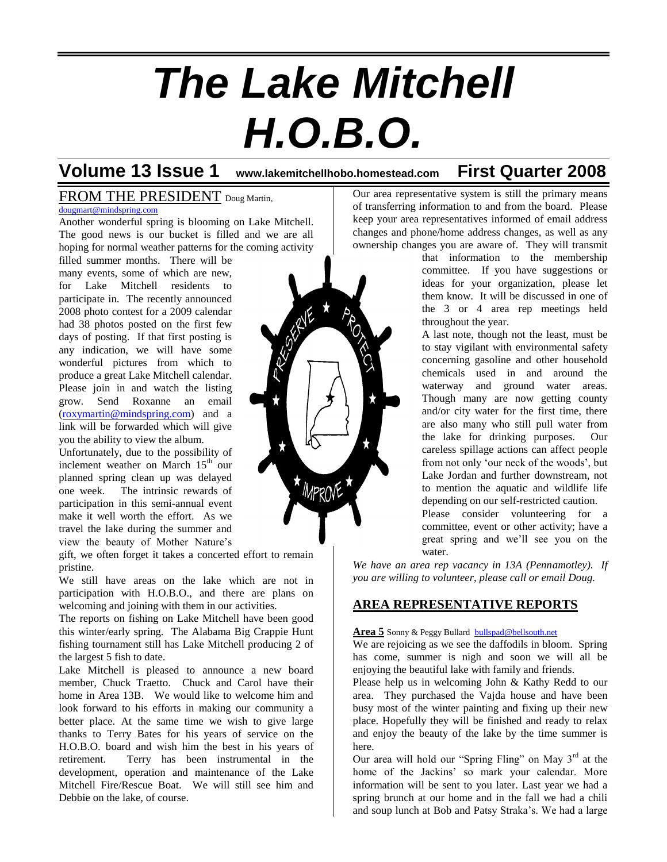# *The Lake Mitchell H.O.B.O.*

## **Volume 13 Issue 1 www.lakemitchellhobo.homestead.com First Quarter 2008**

#### FROM THE PRESIDENT Doug Martin,

[dougmart@mindspring.com](mailto:dougmart@mindspring.com)

Another wonderful spring is blooming on Lake Mitchell. The good news is our bucket is filled and we are all hoping for normal weather patterns for the coming activity

filled summer months. There will be many events, some of which are new, for Lake Mitchell residents to participate in. The recently announced 2008 photo contest for a 2009 calendar had 38 photos posted on the first few days of posting. If that first posting is any indication, we will have some wonderful pictures from which to produce a great Lake Mitchell calendar. Please join in and watch the listing grow. Send Roxanne an email [\(roxymartin@mindspring.com\)](mailto:roxymartin@mindspring.com) and a link will be forwarded which will give you the ability to view the album.

Unfortunately, due to the possibility of inclement weather on March 15<sup>th</sup> our planned spring clean up was delayed one week. The intrinsic rewards of participation in this semi-annual event make it well worth the effort. As we travel the lake during the summer and view the beauty of Mother Nature's

gift, we often forget it takes a concerted effort to remain pristine.

We still have areas on the lake which are not in participation with H.O.B.O., and there are plans on welcoming and joining with them in our activities.

The reports on fishing on Lake Mitchell have been good this winter/early spring. The Alabama Big Crappie Hunt fishing tournament still has Lake Mitchell producing 2 of the largest 5 fish to date.

Lake Mitchell is pleased to announce a new board member, Chuck Traetto. Chuck and Carol have their home in Area 13B. We would like to welcome him and look forward to his efforts in making our community a better place. At the same time we wish to give large thanks to Terry Bates for his years of service on the H.O.B.O. board and wish him the best in his years of retirement. Terry has been instrumental in the development, operation and maintenance of the Lake Mitchell Fire/Rescue Boat. We will still see him and Debbie on the lake, of course.



Our area representative system is still the primary means of transferring information to and from the board. Please keep your area representatives informed of email address changes and phone/home address changes, as well as any ownership changes you are aware of. They will transmit

that information to the membership committee. If you have suggestions or ideas for your organization, please let them know. It will be discussed in one of the 3 or 4 area rep meetings held throughout the year.

A last note, though not the least, must be to stay vigilant with environmental safety concerning gasoline and other household chemicals used in and around the waterway and ground water areas. Though many are now getting county and/or city water for the first time, there are also many who still pull water from the lake for drinking purposes. Our careless spillage actions can affect people from not only 'our neck of the woods', but Lake Jordan and further downstream, not to mention the aquatic and wildlife life depending on our self-restricted caution.

Please consider volunteering for a committee, event or other activity; have a great spring and we'll see you on the water.

*We have an area rep vacancy in 13A (Pennamotley). If you are willing to volunteer, please call or email Doug.*

### **AREA REPRESENTATIVE REPORTS**

#### **Area 5** Sonny & Peggy Bullard [bullspad@bellsouth.net](mailto:bullspad@bellsouth.net)

We are rejoicing as we see the daffodils in bloom. Spring has come, summer is nigh and soon we will all be enjoying the beautiful lake with family and friends.

Please help us in welcoming John & Kathy Redd to our area. They purchased the Vajda house and have been busy most of the winter painting and fixing up their new place. Hopefully they will be finished and ready to relax and enjoy the beauty of the lake by the time summer is here.

Our area will hold our "Spring Fling" on May 3<sup>rd</sup> at the home of the Jackins' so mark your calendar. More information will be sent to you later. Last year we had a spring brunch at our home and in the fall we had a chili and soup lunch at Bob and Patsy Straka's. We had a large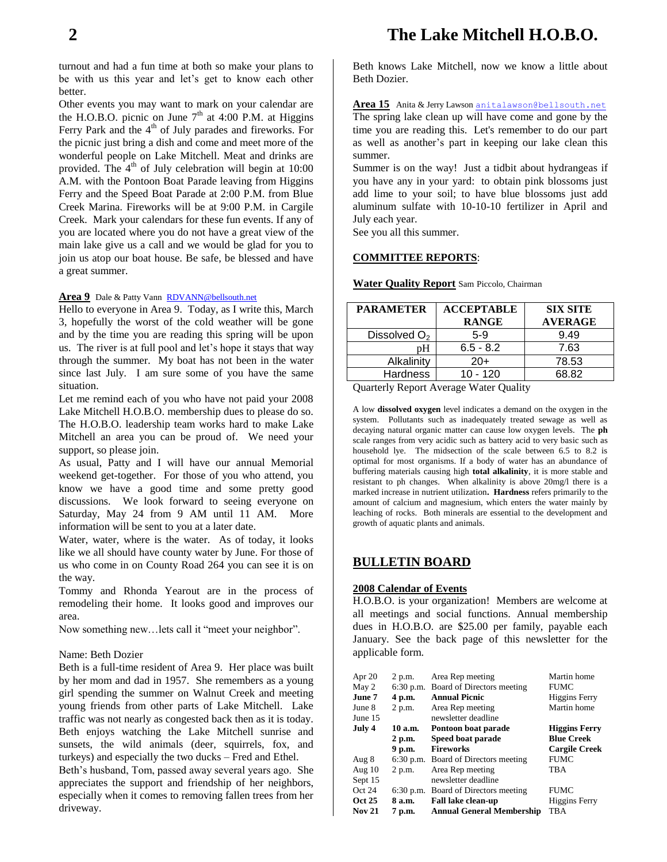turnout and had a fun time at both so make your plans to be with us this year and let's get to know each other better.

Other events you may want to mark on your calendar are the H.O.B.O. picnic on June  $7<sup>th</sup>$  at 4:00 P.M. at Higgins Ferry Park and the  $4<sup>th</sup>$  of July parades and fireworks. For the picnic just bring a dish and come and meet more of the wonderful people on Lake Mitchell. Meat and drinks are provided. The  $4<sup>th</sup>$  of July celebration will begin at 10:00 A.M. with the Pontoon Boat Parade leaving from Higgins Ferry and the Speed Boat Parade at 2:00 P.M. from Blue Creek Marina. Fireworks will be at 9:00 P.M. in Cargile Creek. Mark your calendars for these fun events. If any of you are located where you do not have a great view of the main lake give us a call and we would be glad for you to join us atop our boat house. Be safe, be blessed and have a great summer.

#### Area 9 Dale & Patty Vann [RDVANN@bellsouth.net](mailto:RDVANN@bellsouth.net)

Hello to everyone in Area 9. Today, as I write this, March 3, hopefully the worst of the cold weather will be gone and by the time you are reading this spring will be upon us. The river is at full pool and let's hope it stays that way through the summer. My boat has not been in the water since last July. I am sure some of you have the same situation.

Let me remind each of you who have not paid your 2008 Lake Mitchell H.O.B.O. membership dues to please do so. The H.O.B.O. leadership team works hard to make Lake Mitchell an area you can be proud of. We need your support, so please join.

As usual, Patty and I will have our annual Memorial weekend get-together. For those of you who attend, you know we have a good time and some pretty good discussions. We look forward to seeing everyone on Saturday, May 24 from 9 AM until 11 AM. More information will be sent to you at a later date.

Water, water, where is the water. As of today, it looks like we all should have county water by June. For those of us who come in on County Road 264 you can see it is on the way.

Tommy and Rhonda Yearout are in the process of remodeling their home. It looks good and improves our area.

Now something new…lets call it "meet your neighbor".

#### Name: Beth Dozier

Beth is a full-time resident of Area 9. Her place was built by her mom and dad in 1957. She remembers as a young girl spending the summer on Walnut Creek and meeting young friends from other parts of Lake Mitchell. Lake traffic was not nearly as congested back then as it is today. Beth enjoys watching the Lake Mitchell sunrise and sunsets, the wild animals (deer, squirrels, fox, and turkeys) and especially the two ducks – Fred and Ethel.

Beth's husband, Tom, passed away several years ago. She appreciates the support and friendship of her neighbors, especially when it comes to removing fallen trees from her driveway.

Beth knows Lake Mitchell, now we know a little about Beth Dozier.

**Area 15** Anita & Jerry Lawson [anitalawson@bellsouth.net](mailto:anitalawson@bellsouth.net) The spring lake clean up will have come and gone by the time you are reading this. Let's remember to do our part as well as another's part in keeping our lake clean this summer.

Summer is on the way! Just a tidbit about hydrangeas if you have any in your yard: to obtain pink blossoms just add lime to your soil; to have blue blossoms just add aluminum sulfate with 10-10-10 fertilizer in April and July each year.

See you all this summer.

#### **COMMITTEE REPORTS**:

**Water Quality Report** Sam Piccolo, Chairman

| <b>PARAMETER</b> | <b>ACCEPTABLE</b> | <b>SIX SITE</b> |
|------------------|-------------------|-----------------|
|                  | <b>RANGE</b>      | <b>AVERAGE</b>  |
| Dissolved $O2$   | $5-9$             | 9.49            |
| pН               | $6.5 - 8.2$       | 7.63            |
| Alkalinity       | $20+$             | 78.53           |
| <b>Hardness</b>  | $10 - 120$        | 68.82           |
| $\sim$           |                   |                 |

Quarterly Report Average Water Quality

A low **dissolved oxygen** level indicates a demand on the oxygen in the system. Pollutants such as inadequately treated sewage as well as decaying natural organic matter can cause low oxygen levels. The **ph** scale ranges from very acidic such as battery acid to very basic such as household lye. The midsection of the scale between 6.5 to 8.2 is optimal for most organisms. If a body of water has an abundance of buffering materials causing high **total alkalinity**, it is more stable and resistant to ph changes. When alkalinity is above 20mg/l there is a marked increase in nutrient utilization**. Hardness** refers primarily to the amount of calcium and magnesium, which enters the water mainly by leaching of rocks. Both minerals are essential to the development and growth of aquatic plants and animals.

#### **BULLETIN BOARD**

#### **2008 Calendar of Events**

H.O.B.O. is your organization! Members are welcome at all meetings and social functions. Annual membership dues in H.O.B.O. are \$25.00 per family, payable each January. See the back page of this newsletter for the applicable form.

| Apr 20        | 2 p.m.      | Area Rep meeting                     | Martin home          |
|---------------|-------------|--------------------------------------|----------------------|
| May 2         |             | 6:30 p.m. Board of Directors meeting | <b>FUMC</b>          |
| June 7        | 4 p.m.      | <b>Annual Picnic</b>                 | <b>Higgins Ferry</b> |
| June 8        | 2 p.m.      | Area Rep meeting                     | Martin home          |
| June 15       |             | newsletter deadline                  |                      |
| July 4        | 10 a.m.     | Pontoon boat parade                  | <b>Higgins Ferry</b> |
|               | 2 p.m.      | Speed boat parade                    | <b>Blue Creek</b>    |
|               | 9 p.m.      | <b>Fireworks</b>                     | <b>Cargile Creek</b> |
| Aug 8         | $6:30$ p.m. | Board of Directors meeting           | <b>FUMC</b>          |
| Aug 10        | 2 p.m.      | Area Rep meeting                     | <b>TBA</b>           |
| Sept 15       |             | newsletter deadline                  |                      |
|               |             |                                      |                      |
| Oct 24        |             | 6:30 p.m. Board of Directors meeting | <b>FUMC</b>          |
| Oct 25        | 8 a.m.      | Fall lake clean-up                   | <b>Higgins Ferry</b> |
| <b>Nov 21</b> | 7 p.m.      | <b>Annual General Membership</b>     | <b>TBA</b>           |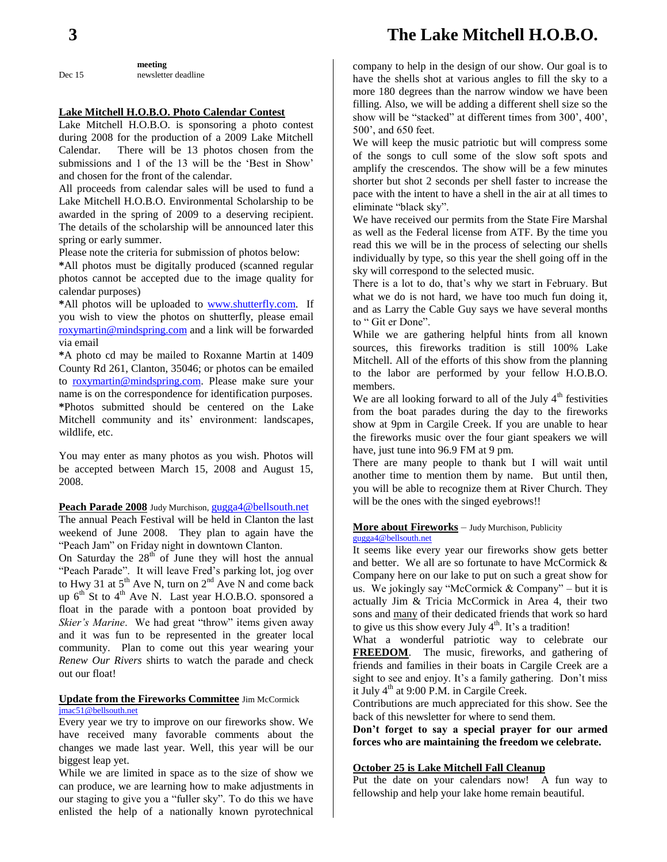## **3 The Lake Mitchell H.O.B.O.**

**meeting** Dec 15 newsletter deadline

#### **Lake Mitchell H.O.B.O. Photo Calendar Contest**

Lake Mitchell H.O.B.O. is sponsoring a photo contest during 2008 for the production of a 2009 Lake Mitchell Calendar. There will be 13 photos chosen from the submissions and 1 of the 13 will be the 'Best in Show' and chosen for the front of the calendar.

All proceeds from calendar sales will be used to fund a Lake Mitchell H.O.B.O. Environmental Scholarship to be awarded in the spring of 2009 to a deserving recipient. The details of the scholarship will be announced later this spring or early summer.

Please note the criteria for submission of photos below:

**\***All photos must be digitally produced (scanned regular photos cannot be accepted due to the image quality for calendar purposes)

**\***All photos will be uploaded to [www.shutterfly.com.](http://www.shutterfly.com/) If you wish to view the photos on shutterfly, please email [roxymartin@mindspring.com](mailto:roxymartin@mindspring.com) and a link will be forwarded via email

**\***A photo cd may be mailed to Roxanne Martin at 1409 County Rd 261, Clanton, 35046; or photos can be emailed to [roxymartin@mindspring.com.](mailto:roxymartin@mindspring.com) Please make sure your name is on the correspondence for identification purposes. **\***Photos submitted should be centered on the Lake Mitchell community and its' environment: landscapes, wildlife, etc.

You may enter as many photos as you wish. Photos will be accepted between March 15, 2008 and August 15, 2008.

Peach Parade 2008 Judy Murchison, [gugga4@bellsouth.net](mailto:gugga4@bellsouth.net)

The annual Peach Festival will be held in Clanton the last weekend of June 2008. They plan to again have the "Peach Jam" on Friday night in downtown Clanton.

On Saturday the  $28<sup>th</sup>$  of June they will host the annual "Peach Parade". It will leave Fred's parking lot, jog over to Hwy 31 at  $5<sup>th</sup>$  Ave N, turn on  $2<sup>nd</sup>$  Ave N and come back up  $6^{th}$  St to  $4^{th}$  Ave N. Last year H.O.B.O. sponsored a float in the parade with a pontoon boat provided by *Skier's Marine*. We had great "throw" items given away and it was fun to be represented in the greater local community. Plan to come out this year wearing your *Renew Our Rivers* shirts to watch the parade and check out our float!

#### **Update from the Fireworks Committee** Jim McCormick [jmac51@bellsouth.net](mailto:jmac51@bellsouth.net)

Every year we try to improve on our fireworks show. We have received many favorable comments about the changes we made last year. Well, this year will be our biggest leap yet.

While we are limited in space as to the size of show we can produce, we are learning how to make adjustments in our staging to give you a "fuller sky". To do this we have enlisted the help of a nationally known pyrotechnical company to help in the design of our show. Our goal is to have the shells shot at various angles to fill the sky to a more 180 degrees than the narrow window we have been filling. Also, we will be adding a different shell size so the show will be "stacked" at different times from 300', 400', 500', and 650 feet.

We will keep the music patriotic but will compress some of the songs to cull some of the slow soft spots and amplify the crescendos. The show will be a few minutes shorter but shot 2 seconds per shell faster to increase the pace with the intent to have a shell in the air at all times to eliminate "black sky".

We have received our permits from the State Fire Marshal as well as the Federal license from ATF. By the time you read this we will be in the process of selecting our shells individually by type, so this year the shell going off in the sky will correspond to the selected music.

There is a lot to do, that's why we start in February. But what we do is not hard, we have too much fun doing it, and as Larry the Cable Guy says we have several months to " Git er Done".

While we are gathering helpful hints from all known sources, this fireworks tradition is still 100% Lake Mitchell. All of the efforts of this show from the planning to the labor are performed by your fellow H.O.B.O. members.

We are all looking forward to all of the July  $4<sup>th</sup>$  festivities from the boat parades during the day to the fireworks show at 9pm in Cargile Creek. If you are unable to hear the fireworks music over the four giant speakers we will have, just tune into 96.9 FM at 9 pm.

There are many people to thank but I will wait until another time to mention them by name. But until then, you will be able to recognize them at River Church. They will be the ones with the singed eyebrows!!

#### **More about Fireworks** – Judy Murchison, Publicity [gugga4@bellsouth.net](mailto:gugga4@bellsouth.net)

It seems like every year our fireworks show gets better and better. We all are so fortunate to have McCormick & Company here on our lake to put on such a great show for us. We jokingly say "McCormick  $& Company" - but it is$ actually Jim & Tricia McCormick in Area 4, their two sons and many of their dedicated friends that work so hard to give us this show every July  $4<sup>th</sup>$ . It's a tradition!

What a wonderful patriotic way to celebrate our **FREEDOM**. The music, fireworks, and gathering of friends and families in their boats in Cargile Creek are a sight to see and enjoy. It's a family gathering. Don't miss it July  $4<sup>th</sup>$  at 9:00 P.M. in Cargile Creek.

Contributions are much appreciated for this show. See the back of this newsletter for where to send them.

**Don't forget to say a special prayer for our armed forces who are maintaining the freedom we celebrate.**

#### **October 25 is Lake Mitchell Fall Cleanup**

Put the date on your calendars now! A fun way to fellowship and help your lake home remain beautiful.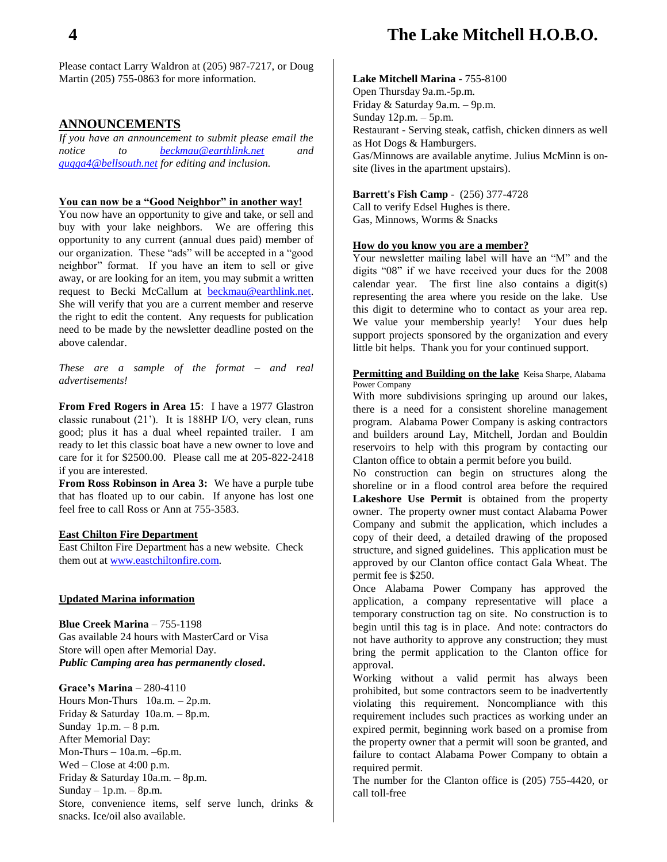## **4 The Lake Mitchell H.O.B.O.**

Please contact Larry Waldron at (205) 987-7217, or Doug Martin (205) 755-0863 for more information.

#### **ANNOUNCEMENTS**

*If you have an announcement to submit please email the notice to [beckmau@earthlink.net](mailto:beckmau@earthlink.net) and [gugga4@bellsouth.net](mailto:gugga4@bellsouth.net) for editing and inclusion.*

#### **You can now be a "Good Neighbor" in another way!**

You now have an opportunity to give and take, or sell and buy with your lake neighbors. We are offering this opportunity to any current (annual dues paid) member of our organization. These "ads" will be accepted in a "good neighbor" format. If you have an item to sell or give away, or are looking for an item, you may submit a written request to Becki McCallum at [beckmau@earthlink.net.](mailto:beckmau@earthlink.net) She will verify that you are a current member and reserve the right to edit the content. Any requests for publication need to be made by the newsletter deadline posted on the above calendar.

*These are a sample of the format – and real advertisements!*

**From Fred Rogers in Area 15**: I have a 1977 Glastron classic runabout (21'). It is 188HP I/O, very clean, runs good; plus it has a dual wheel repainted trailer. I am ready to let this classic boat have a new owner to love and care for it for \$2500.00. Please call me at 205-822-2418 if you are interested.

**From Ross Robinson in Area 3:** We have a purple tube that has floated up to our cabin. If anyone has lost one feel free to call Ross or Ann at 755-3583.

#### **East Chilton Fire Department**

East Chilton Fire Department has a new website. Check them out at [www.eastchiltonfire.com.](http://www.eastchiltonfire.com/)

#### **Updated Marina information**

**Blue Creek Marina** – 755-1198 Gas available 24 hours with MasterCard or Visa Store will open after Memorial Day. *Public Camping area has permanently closed***.**

**Grace's Marina** – 280-4110 Hours Mon-Thurs 10a.m. – 2p.m. Friday & Saturday 10a.m. – 8p.m. Sunday  $1p.m. - 8 p.m.$ After Memorial Day: Mon-Thurs – 10a.m. –6p.m. Wed – Close at 4:00 p.m. Friday & Saturday 10a.m. – 8p.m. Sunday  $-1$ p.m.  $-8$ p.m. Store, convenience items, self serve lunch, drinks & snacks. Ice/oil also available.

#### **Lake Mitchell Marina** - 755-8100

Open Thursday 9a.m.-5p.m. Friday & Saturday 9a.m. – 9p.m. Sunday 12p.m. – 5p.m. Restaurant - Serving steak, catfish, chicken dinners as well as Hot Dogs & Hamburgers. Gas/Minnows are available anytime. Julius McMinn is onsite (lives in the apartment upstairs).

#### **Barrett's Fish Camp** - (256) 377-4728

Call to verify Edsel Hughes is there. Gas, Minnows, Worms & Snacks

#### **How do you know you are a member?**

Your newsletter mailing label will have an "M" and the digits "08" if we have received your dues for the 2008 calendar year. The first line also contains a digit(s) representing the area where you reside on the lake. Use this digit to determine who to contact as your area rep. We value your membership yearly! Your dues help support projects sponsored by the organization and every little bit helps. Thank you for your continued support.

**Permitting and Building on the lake** Keisa Sharpe, Alabama Power Company

With more subdivisions springing up around our lakes, there is a need for a consistent shoreline management program. Alabama Power Company is asking contractors and builders around Lay, Mitchell, Jordan and Bouldin reservoirs to help with this program by contacting our Clanton office to obtain a permit before you build.

No construction can begin on structures along the shoreline or in a flood control area before the required **Lakeshore Use Permit** is obtained from the property owner. The property owner must contact Alabama Power Company and submit the application, which includes a copy of their deed, a detailed drawing of the proposed structure, and signed guidelines. This application must be approved by our Clanton office contact Gala Wheat. The permit fee is \$250.

Once Alabama Power Company has approved the application, a company representative will place a temporary construction tag on site. No construction is to begin until this tag is in place. And note: contractors do not have authority to approve any construction; they must bring the permit application to the Clanton office for approval.

Working without a valid permit has always been prohibited, but some contractors seem to be inadvertently violating this requirement. Noncompliance with this requirement includes such practices as working under an expired permit, beginning work based on a promise from the property owner that a permit will soon be granted, and failure to contact Alabama Power Company to obtain a required permit.

The number for the Clanton office is (205) 755-4420, or call toll-free